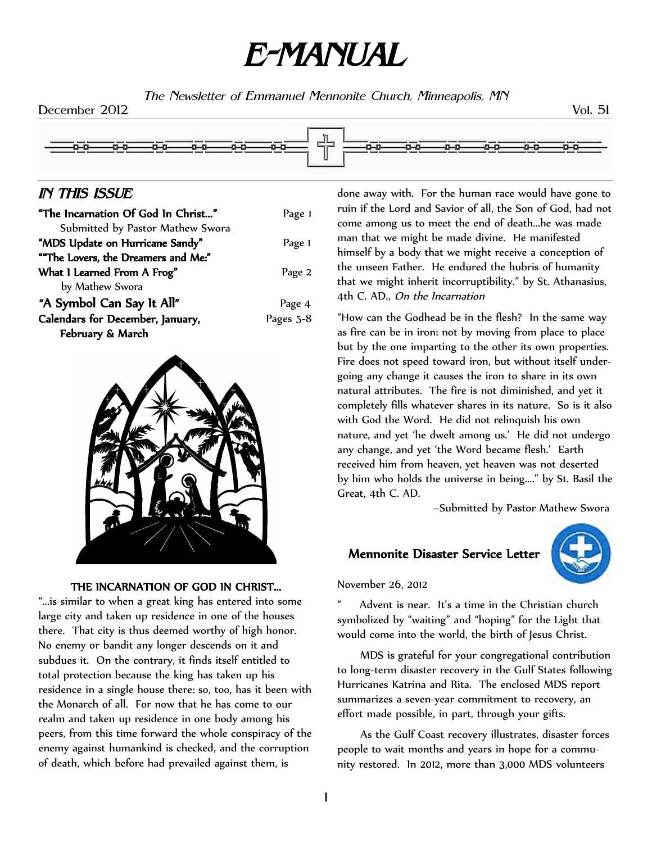# E-MANUAL

The Newsletter of Emmanuel Mennonite Church, Minneapolis, MN

December 2012 Vol. 51



### IN THIS ISSUE

| "The Incarnation Of God In Christ" | Page 1    |
|------------------------------------|-----------|
| Submitted by Pastor Mathew Swora   |           |
| "MDS Update on Hurricane Sandy"    | Page 1    |
| "The Lovers, the Dreamers and Me:" |           |
| What I Learned From A Frog"        | Page 2    |
| by Mathew Swora                    |           |
| "A Symbol Can Say It All"          | Page 4    |
| Calendars for December, January,   | Pages 5-8 |
| February & March                   |           |
|                                    |           |



THE INCARNATION OF GOD IN CHRIST...

"...is similar to when a great king has entered into some large city and taken up residence in one of the houses there. That city is thus deemed worthy of high honor. No enemy or bandit any longer descends on it and subdues it. On the contrary, it finds itself entitled to total protection because the king has taken up his residence in a single house there: so, too, has it been with the Monarch of all. For now that he has come to our realm and taken up residence in one body among his peers, from this time forward the whole conspiracy of the enemy against humankind is checked, and the corruption of death, which before had prevailed against them, is

done away with. For the human race would have gone to ruin if the Lord and Savior of all, the Son of God, had not come among us to meet the end of death...he was made man that we might be made divine. He manifested himself by a body that we might receive a conception of the unseen Father. He endured the hubris of humanity that we might inherit incorruptibility." by St. Athanasius, 4th C. AD., On the Incarnation

"How can the Godhead be in the flesh? In the same way as fire can be in iron: not by moving from place to place but by the one imparting to the other its own properties. Fire does not speed toward iron, but without itself undergoing any change it causes the iron to share in its own natural attributes. The fire is not diminished, and yet it completely fills whatever shares in its nature. So is it also with God the Word. He did not relinquish his own nature, and yet 'he dwelt among us.' He did not undergo any change, and yet 'the Word became flesh.' Earth received him from heaven, yet heaven was not deserted by him who holds the universe in being...." by St. Basil the Great, 4th C. AD.

–Submitted by Pastor Mathew Swora

#### Mennonite Disaster Service Letter



November 26, 2012

Advent is near. It's a time in the Christian church symbolized by "waiting" and "hoping" for the Light that would come into the world, the birth of Jesus Christ.

MDS is grateful for your congregational contribution to long-term disaster recovery in the Gulf States following Hurricanes Katrina and Rita. The enclosed MDS report summarizes a seven-year commitment to recovery, an effort made possible, in part, through your gifts.

As the Gulf Coast recovery illustrates, disaster forces people to wait months and years in hope for a community restored. In 2012, more than 3,000 MDS volunteers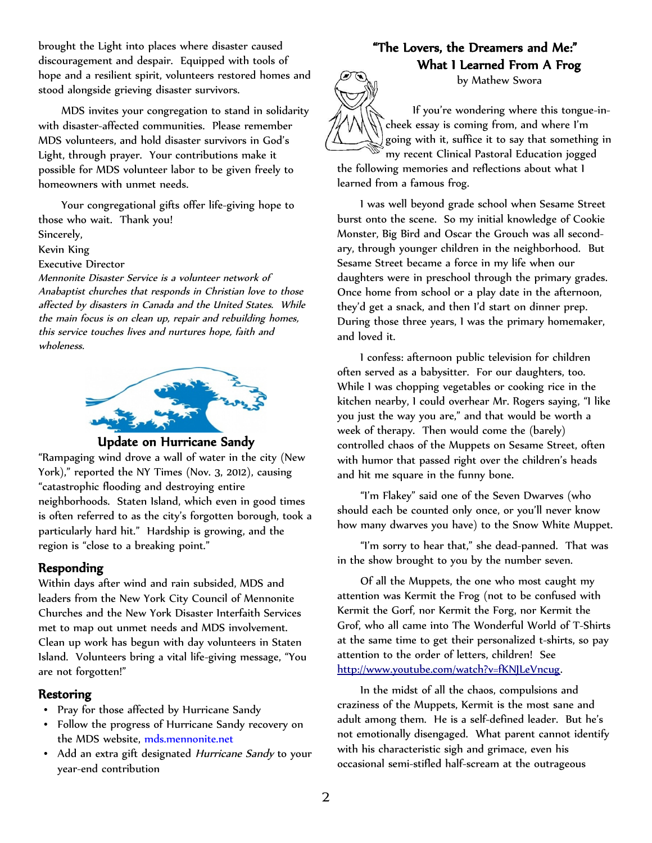brought the Light into places where disaster caused discouragement and despair. Equipped with tools of hope and a resilient spirit, volunteers restored homes and stood alongside grieving disaster survivors.

MDS invites your congregation to stand in solidarity with disaster-affected communities. Please remember MDS volunteers, and hold disaster survivors in God's Light, through prayer. Your contributions make it possible for MDS volunteer labor to be given freely to homeowners with unmet needs.

Your congregational gifts offer life-giving hope to those who wait. Thank you!

Sincerely,

Kevin King

Executive Director

Mennonite Disaster Service is a volunteer network of Anabaptist churches that responds in Christian love to those affected by disasters in Canada and the United States. While the main focus is on clean up, repair and rebuilding homes, this service touches lives and nurtures hope, faith and wholeness.



Update on Hurricane Sandy

"Rampaging wind drove a wall of water in the city (New York)," reported the NY Times (Nov. 3, 2012), causing "catastrophic flooding and destroying entire neighborhoods. Staten Island, which even in good times is often referred to as the city's forgotten borough, took a particularly hard hit." Hardship is growing, and the region is "close to a breaking point."

#### Responding

Within days after wind and rain subsided, MDS and leaders from the New York City Council of Mennonite Churches and the New York Disaster Interfaith Services met to map out unmet needs and MDS involvement. Clean up work has begun with day volunteers in Staten Island. Volunteers bring a vital life-giving message, "You are not forgotten!"

#### Restoring

- Pray for those affected by Hurricane Sandy
- Follow the progress of Hurricane Sandy recovery on the MDS website, mds.mennonite.net
- Add an extra gift designated Hurricane Sandy to your year-end contribution

## "The Lovers, the Dreamers and Me:" What I Learned From A Frog

by Mathew Swora



If you're wondering where this tongue-incheek essay is coming from, and where I'm going with it, suffice it to say that something in my recent Clinical Pastoral Education jogged

the following memories and reflections about what I learned from a famous frog.

I was well beyond grade school when Sesame Street burst onto the scene. So my initial knowledge of Cookie Monster, Big Bird and Oscar the Grouch was all secondary, through younger children in the neighborhood. But Sesame Street became a force in my life when our daughters were in preschool through the primary grades. Once home from school or a play date in the afternoon, they'd get a snack, and then I'd start on dinner prep. During those three years, I was the primary homemaker, and loved it.

I confess: afternoon public television for children often served as a babysitter. For our daughters, too. While I was chopping vegetables or cooking rice in the kitchen nearby, I could overhear Mr. Rogers saying, "I like you just the way you are," and that would be worth a week of therapy. Then would come the (barely) controlled chaos of the Muppets on Sesame Street, often with humor that passed right over the children's heads and hit me square in the funny bone.

"I'm Flakey" said one of the Seven Dwarves (who should each be counted only once, or you'll never know how many dwarves you have) to the Snow White Muppet.

"I'm sorry to hear that," she dead-panned. That was in the show brought to you by the number seven.

Of all the Muppets, the one who most caught my attention was Kermit the Frog (not to be confused with Kermit the Gorf, nor Kermit the Forg, nor Kermit the Grof, who all came into The Wonderful World of T-Shirts at the same time to get their personalized t-shirts, so pay attention to the order of letters, children! See [http://www.youtube.com/watch?v=fKNJLeVncug.](http://www.youtube.com/watch?v=fKNJLeVncug)

In the midst of all the chaos, compulsions and craziness of the Muppets, Kermit is the most sane and adult among them. He is a self-defined leader. But he's not emotionally disengaged. What parent cannot identify with his characteristic sigh and grimace, even his occasional semi-stifled half-scream at the outrageous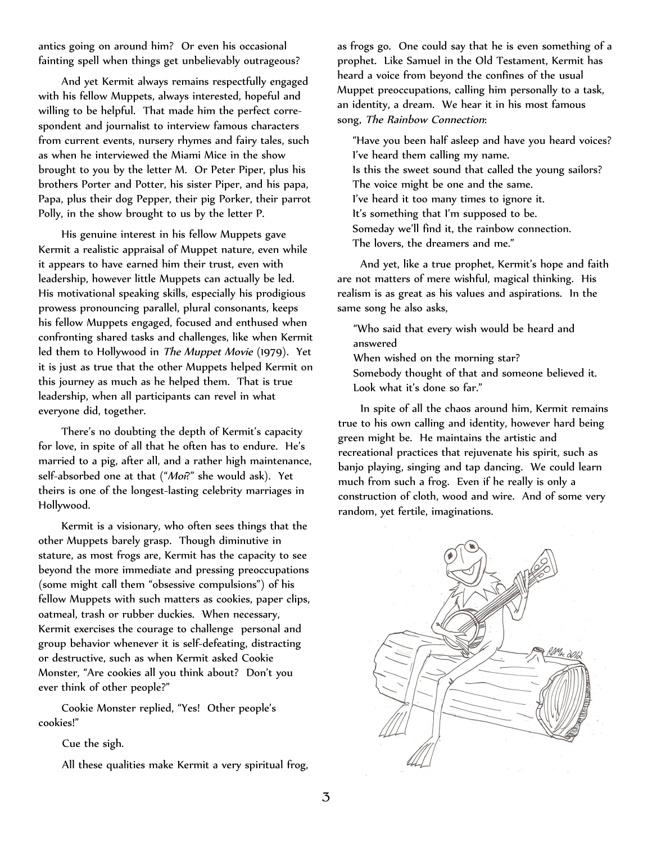antics going on around him? Or even his occasional fainting spell when things get unbelievably outrageous?

And yet Kermit always remains respectfully engaged with his fellow Muppets, always interested, hopeful and willing to be helpful. That made him the perfect correspondent and journalist to interview famous characters from current events, nursery rhymes and fairy tales, such as when he interviewed the Miami Mice in the show brought to you by the letter M. Or Peter Piper, plus his brothers Porter and Potter, his sister Piper, and his papa, Papa, plus their dog Pepper, their pig Porker, their parrot Polly, in the show brought to us by the letter P.

His genuine interest in his fellow Muppets gave Kermit a realistic appraisal of Muppet nature, even while it appears to have earned him their trust, even with leadership, however little Muppets can actually be led. His motivational speaking skills, especially his prodigious prowess pronouncing parallel, plural consonants, keeps his fellow Muppets engaged, focused and enthused when confronting shared tasks and challenges, like when Kermit led them to Hollywood in The Muppet Movie (1979). Yet it is just as true that the other Muppets helped Kermit on this journey as much as he helped them. That is true leadership, when all participants can revel in what everyone did, together.

There's no doubting the depth of Kermit's capacity for love, in spite of all that he often has to endure. He's married to a pig, after all, and a rather high maintenance, self-absorbed one at that ("Moi?" she would ask). Yet theirs is one of the longest-lasting celebrity marriages in Hollywood.

Kermit is a visionary, who often sees things that the other Muppets barely grasp. Though diminutive in stature, as most frogs are, Kermit has the capacity to see beyond the more immediate and pressing preoccupations (some might call them "obsessive compulsions") of his fellow Muppets with such matters as cookies, paper clips, oatmeal, trash or rubber duckies. When necessary, Kermit exercises the courage to challenge personal and group behavior whenever it is self-defeating, distracting or destructive, such as when Kermit asked Cookie Monster, "Are cookies all you think about? Don't you ever think of other people?"

Cookie Monster replied, "Yes! Other people's cookies!"

Cue the sigh.

All these qualities make Kermit a very spiritual frog,

as frogs go. One could say that he is even something of a prophet. Like Samuel in the Old Testament, Kermit has heard a voice from beyond the confines of the usual Muppet preoccupations, calling him personally to a task, an identity, a dream. We hear it in his most famous song, The Rainbow Connection:

"Have you been half asleep and have you heard voices? I've heard them calling my name. Is this the sweet sound that called the young sailors? The voice might be one and the same. I've heard it too many times to ignore it. It's something that I'm supposed to be. Someday we'll find it, the rainbow connection. The lovers, the dreamers and me."

And yet, like a true prophet, Kermit's hope and faith are not matters of mere wishful, magical thinking. His realism is as great as his values and aspirations. In the same song he also asks,

"Who said that every wish would be heard and answered When wished on the morning star? Somebody thought of that and someone believed it. Look what it's done so far."

In spite of all the chaos around him, Kermit remains true to his own calling and identity, however hard being green might be. He maintains the artistic and recreational practices that rejuvenate his spirit, such as banjo playing, singing and tap dancing. We could learn much from such a frog. Even if he really is only a construction of cloth, wood and wire. And of some very random, yet fertile, imaginations.